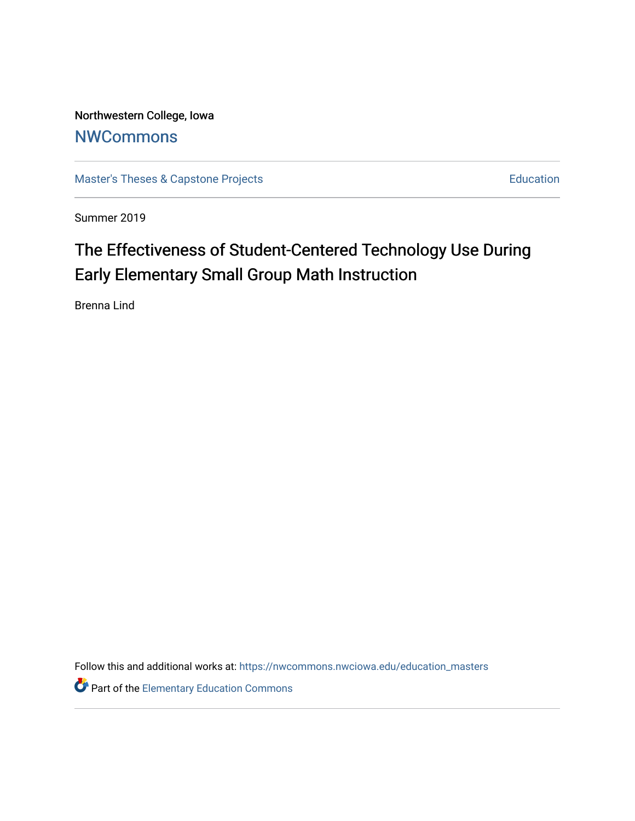Northwestern College, Iowa **[NWCommons](https://nwcommons.nwciowa.edu/)** 

[Master's Theses & Capstone Projects](https://nwcommons.nwciowa.edu/education_masters) **Education** Education

Summer 2019

# The Effectiveness of Student-Centered Technology Use During Early Elementary Small Group Math Instruction

Brenna Lind

Follow this and additional works at: [https://nwcommons.nwciowa.edu/education\\_masters](https://nwcommons.nwciowa.edu/education_masters?utm_source=nwcommons.nwciowa.edu%2Feducation_masters%2F150&utm_medium=PDF&utm_campaign=PDFCoverPages)

**Part of the Elementary Education Commons**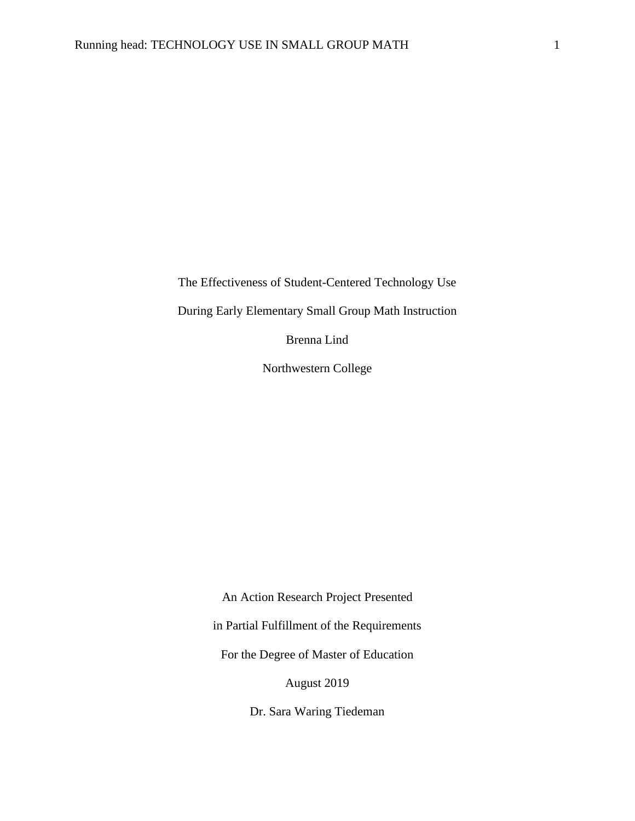The Effectiveness of Student-Centered Technology Use

During Early Elementary Small Group Math Instruction

Brenna Lind

Northwestern College

An Action Research Project Presented in Partial Fulfillment of the Requirements For the Degree of Master of Education August 2019

Dr. Sara Waring Tiedeman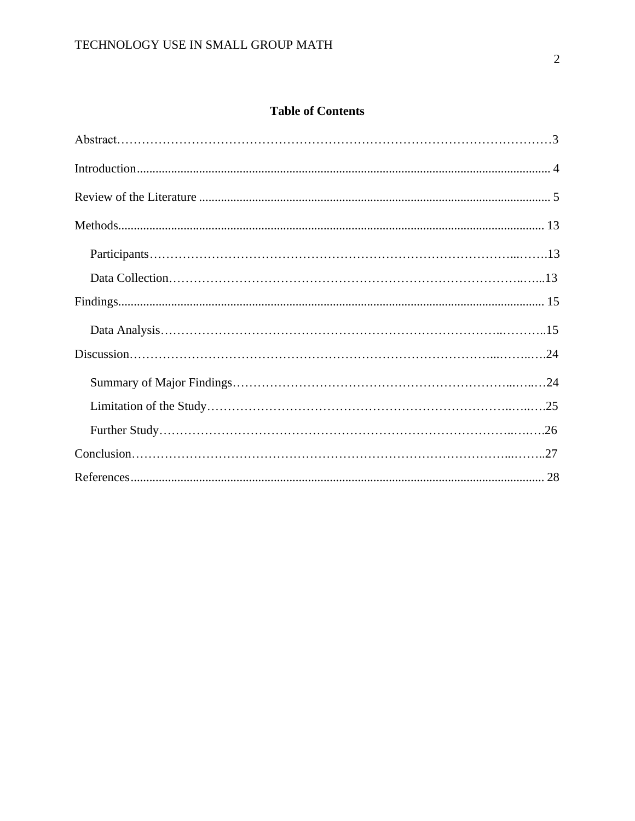## **Table of Contents**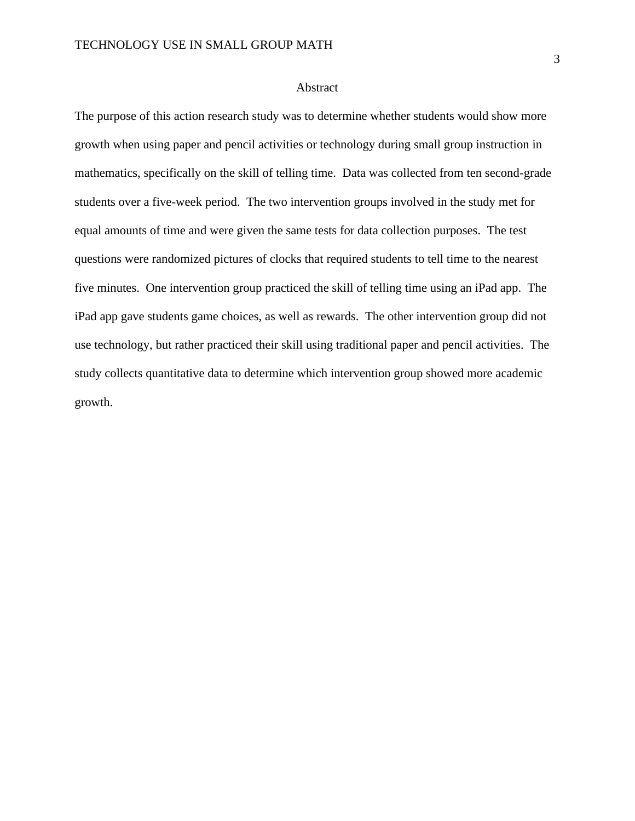#### Abstract

The purpose of this action research study was to determine whether students would show more growth when using paper and pencil activities or technology during small group instruction in mathematics, specifically on the skill of telling time. Data was collected from ten second-grade students over a five-week period. The two intervention groups involved in the study met for equal amounts of time and were given the same tests for data collection purposes. The test questions were randomized pictures of clocks that required students to tell time to the nearest five minutes. One intervention group practiced the skill of telling time using an iPad app. The iPad app gave students game choices, as well as rewards. The other intervention group did not use technology, but rather practiced their skill using traditional paper and pencil activities. The study collects quantitative data to determine which intervention group showed more academic growth.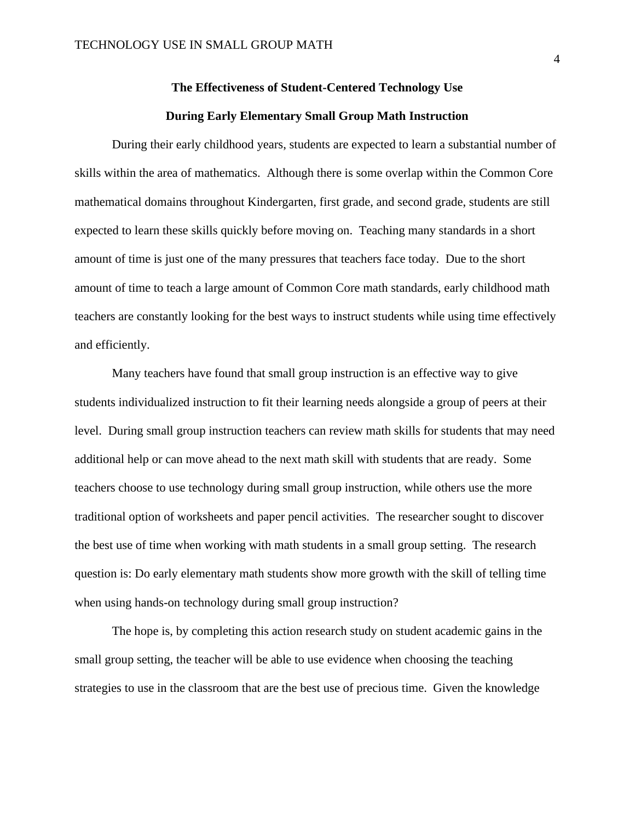## **The Effectiveness of Student-Centered Technology Use During Early Elementary Small Group Math Instruction**

During their early childhood years, students are expected to learn a substantial number of skills within the area of mathematics. Although there is some overlap within the Common Core mathematical domains throughout Kindergarten, first grade, and second grade, students are still expected to learn these skills quickly before moving on. Teaching many standards in a short amount of time is just one of the many pressures that teachers face today. Due to the short amount of time to teach a large amount of Common Core math standards, early childhood math teachers are constantly looking for the best ways to instruct students while using time effectively and efficiently.

Many teachers have found that small group instruction is an effective way to give students individualized instruction to fit their learning needs alongside a group of peers at their level. During small group instruction teachers can review math skills for students that may need additional help or can move ahead to the next math skill with students that are ready. Some teachers choose to use technology during small group instruction, while others use the more traditional option of worksheets and paper pencil activities. The researcher sought to discover the best use of time when working with math students in a small group setting. The research question is: Do early elementary math students show more growth with the skill of telling time when using hands-on technology during small group instruction?

The hope is, by completing this action research study on student academic gains in the small group setting, the teacher will be able to use evidence when choosing the teaching strategies to use in the classroom that are the best use of precious time. Given the knowledge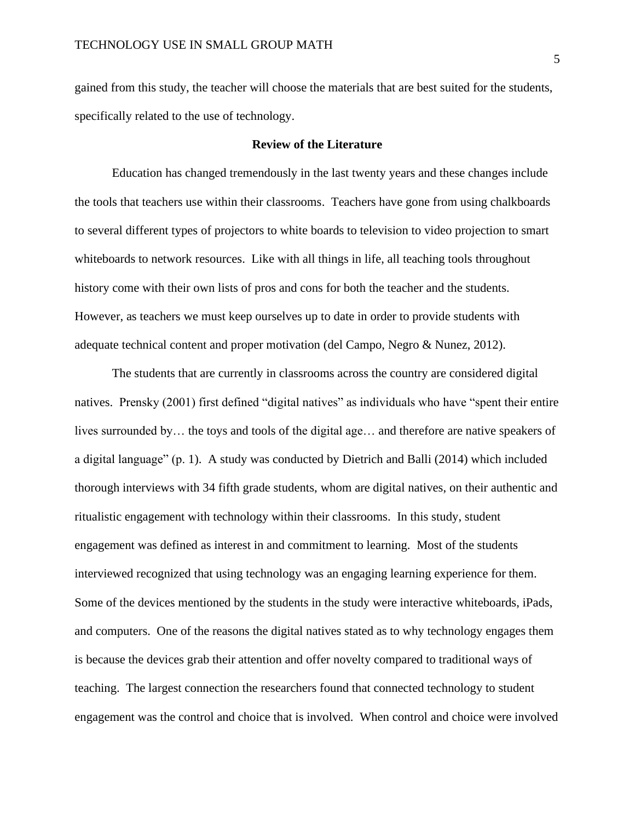gained from this study, the teacher will choose the materials that are best suited for the students, specifically related to the use of technology.

#### <span id="page-5-0"></span>**Review of the Literature**

Education has changed tremendously in the last twenty years and these changes include the tools that teachers use within their classrooms. Teachers have gone from using chalkboards to several different types of projectors to white boards to television to video projection to smart whiteboards to network resources. Like with all things in life, all teaching tools throughout history come with their own lists of pros and cons for both the teacher and the students. However, as teachers we must keep ourselves up to date in order to provide students with adequate technical content and proper motivation (del Campo, Negro & Nunez, 2012).

The students that are currently in classrooms across the country are considered digital natives. Prensky (2001) first defined "digital natives" as individuals who have "spent their entire lives surrounded by… the toys and tools of the digital age… and therefore are native speakers of a digital language" (p. 1). A study was conducted by Dietrich and Balli (2014) which included thorough interviews with 34 fifth grade students, whom are digital natives, on their authentic and ritualistic engagement with technology within their classrooms. In this study, student engagement was defined as interest in and commitment to learning. Most of the students interviewed recognized that using technology was an engaging learning experience for them. Some of the devices mentioned by the students in the study were interactive whiteboards, iPads, and computers. One of the reasons the digital natives stated as to why technology engages them is because the devices grab their attention and offer novelty compared to traditional ways of teaching. The largest connection the researchers found that connected technology to student engagement was the control and choice that is involved. When control and choice were involved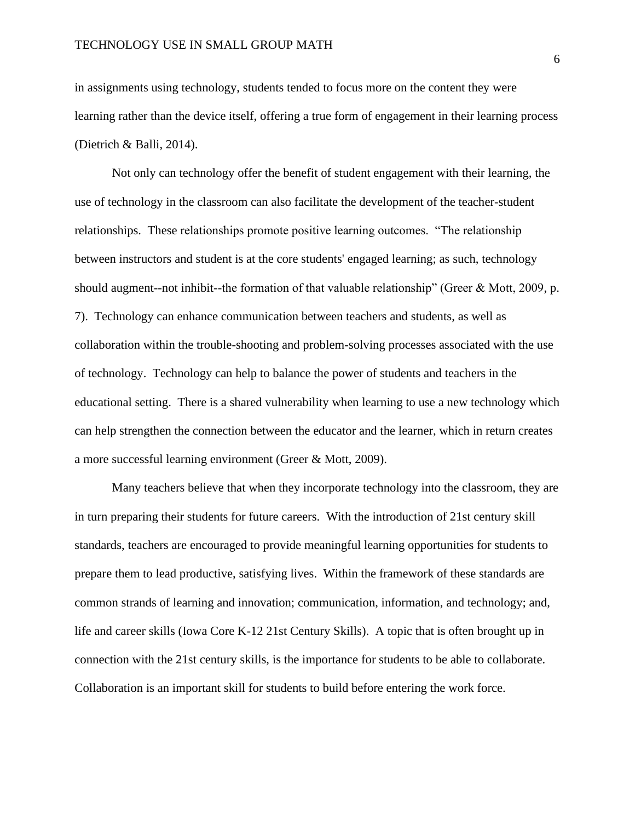in assignments using technology, students tended to focus more on the content they were learning rather than the device itself, offering a true form of engagement in their learning process (Dietrich & Balli, 2014).

Not only can technology offer the benefit of student engagement with their learning, the use of technology in the classroom can also facilitate the development of the teacher-student relationships. These relationships promote positive learning outcomes. "The relationship between instructors and student is at the core students' engaged learning; as such, technology should augment--not inhibit--the formation of that valuable relationship" (Greer & Mott, 2009, p. 7). Technology can enhance communication between teachers and students, as well as collaboration within the trouble-shooting and problem-solving processes associated with the use of technology. Technology can help to balance the power of students and teachers in the educational setting. There is a shared vulnerability when learning to use a new technology which can help strengthen the connection between the educator and the learner, which in return creates a more successful learning environment (Greer & Mott, 2009).

Many teachers believe that when they incorporate technology into the classroom, they are in turn preparing their students for future careers. With the introduction of 21st century skill standards, teachers are encouraged to provide meaningful learning opportunities for students to prepare them to lead productive, satisfying lives. Within the framework of these standards are common strands of learning and innovation; communication, information, and technology; and, life and career skills (Iowa Core K-12 21st Century Skills). A topic that is often brought up in connection with the 21st century skills, is the importance for students to be able to collaborate. Collaboration is an important skill for students to build before entering the work force.

6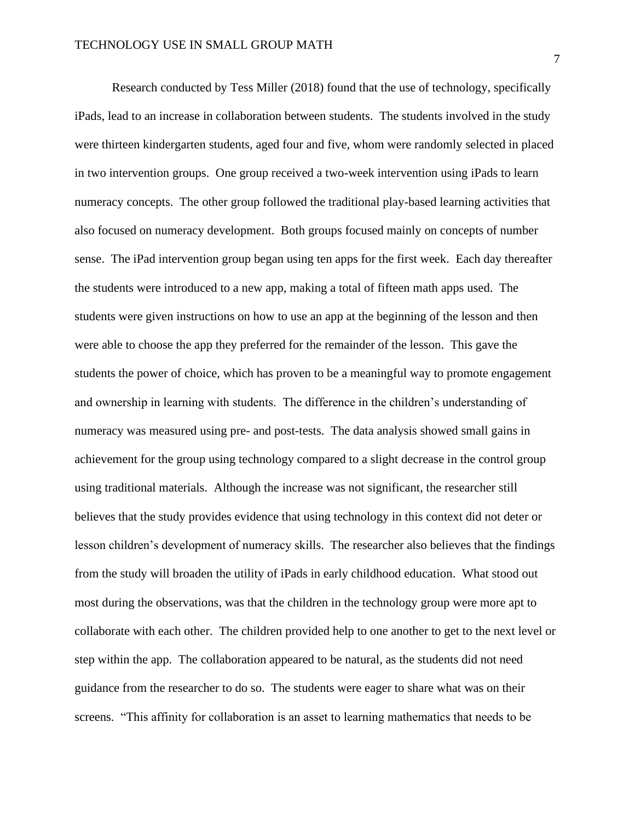Research conducted by Tess Miller (2018) found that the use of technology, specifically iPads, lead to an increase in collaboration between students. The students involved in the study were thirteen kindergarten students, aged four and five, whom were randomly selected in placed in two intervention groups. One group received a two-week intervention using iPads to learn numeracy concepts. The other group followed the traditional play-based learning activities that also focused on numeracy development. Both groups focused mainly on concepts of number sense. The iPad intervention group began using ten apps for the first week. Each day thereafter the students were introduced to a new app, making a total of fifteen math apps used. The students were given instructions on how to use an app at the beginning of the lesson and then were able to choose the app they preferred for the remainder of the lesson. This gave the students the power of choice, which has proven to be a meaningful way to promote engagement and ownership in learning with students. The difference in the children's understanding of numeracy was measured using pre- and post-tests. The data analysis showed small gains in achievement for the group using technology compared to a slight decrease in the control group using traditional materials. Although the increase was not significant, the researcher still believes that the study provides evidence that using technology in this context did not deter or lesson children's development of numeracy skills. The researcher also believes that the findings from the study will broaden the utility of iPads in early childhood education. What stood out most during the observations, was that the children in the technology group were more apt to collaborate with each other. The children provided help to one another to get to the next level or step within the app. The collaboration appeared to be natural, as the students did not need guidance from the researcher to do so. The students were eager to share what was on their screens. "This affinity for collaboration is an asset to learning mathematics that needs to be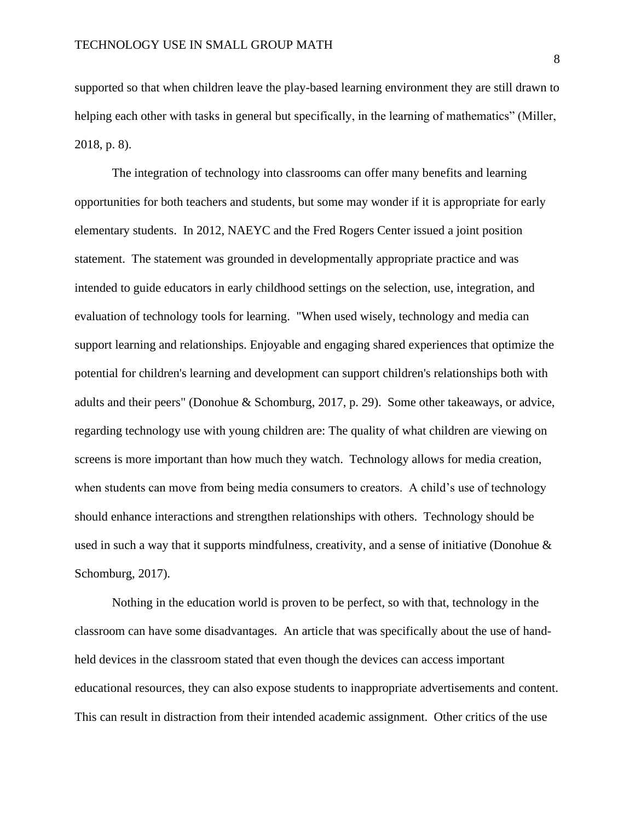supported so that when children leave the play-based learning environment they are still drawn to helping each other with tasks in general but specifically, in the learning of mathematics" (Miller, 2018, p. 8).

The integration of technology into classrooms can offer many benefits and learning opportunities for both teachers and students, but some may wonder if it is appropriate for early elementary students. In 2012, NAEYC and the Fred Rogers Center issued a joint position statement. The statement was grounded in developmentally appropriate practice and was intended to guide educators in early childhood settings on the selection, use, integration, and evaluation of technology tools for learning. "When used wisely, technology and media can support learning and relationships. Enjoyable and engaging shared experiences that optimize the potential for children's learning and development can support children's relationships both with adults and their peers" (Donohue & Schomburg, 2017, p. 29). Some other takeaways, or advice, regarding technology use with young children are: The quality of what children are viewing on screens is more important than how much they watch. Technology allows for media creation, when students can move from being media consumers to creators. A child's use of technology should enhance interactions and strengthen relationships with others. Technology should be used in such a way that it supports mindfulness, creativity, and a sense of initiative (Donohue & Schomburg, 2017).

Nothing in the education world is proven to be perfect, so with that, technology in the classroom can have some disadvantages. An article that was specifically about the use of handheld devices in the classroom stated that even though the devices can access important educational resources, they can also expose students to inappropriate advertisements and content. This can result in distraction from their intended academic assignment. Other critics of the use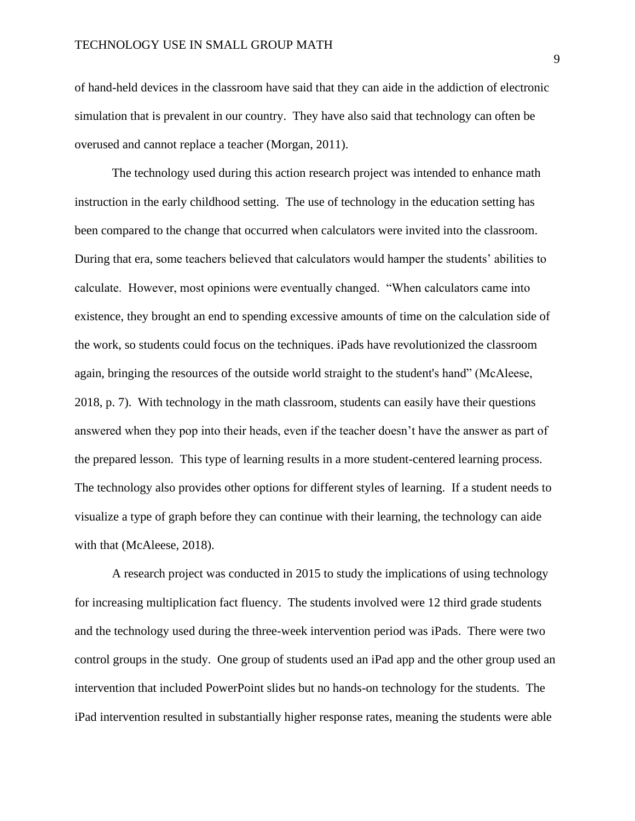of hand-held devices in the classroom have said that they can aide in the addiction of electronic simulation that is prevalent in our country. They have also said that technology can often be overused and cannot replace a teacher (Morgan, 2011).

The technology used during this action research project was intended to enhance math instruction in the early childhood setting. The use of technology in the education setting has been compared to the change that occurred when calculators were invited into the classroom. During that era, some teachers believed that calculators would hamper the students' abilities to calculate. However, most opinions were eventually changed. "When calculators came into existence, they brought an end to spending excessive amounts of time on the calculation side of the work, so students could focus on the techniques. iPads have revolutionized the classroom again, bringing the resources of the outside world straight to the student's hand" (McAleese, 2018, p. 7). With technology in the math classroom, students can easily have their questions answered when they pop into their heads, even if the teacher doesn't have the answer as part of the prepared lesson. This type of learning results in a more student-centered learning process. The technology also provides other options for different styles of learning. If a student needs to visualize a type of graph before they can continue with their learning, the technology can aide with that (McAleese, 2018).

A research project was conducted in 2015 to study the implications of using technology for increasing multiplication fact fluency. The students involved were 12 third grade students and the technology used during the three-week intervention period was iPads. There were two control groups in the study. One group of students used an iPad app and the other group used an intervention that included PowerPoint slides but no hands-on technology for the students. The iPad intervention resulted in substantially higher response rates, meaning the students were able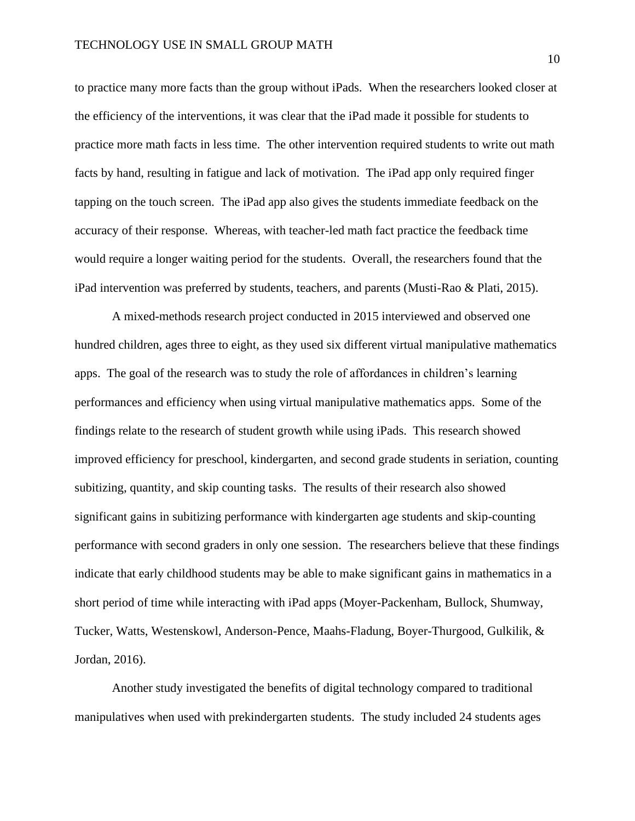to practice many more facts than the group without iPads. When the researchers looked closer at the efficiency of the interventions, it was clear that the iPad made it possible for students to practice more math facts in less time. The other intervention required students to write out math facts by hand, resulting in fatigue and lack of motivation. The iPad app only required finger tapping on the touch screen. The iPad app also gives the students immediate feedback on the accuracy of their response. Whereas, with teacher-led math fact practice the feedback time would require a longer waiting period for the students. Overall, the researchers found that the iPad intervention was preferred by students, teachers, and parents (Musti-Rao & Plati, 2015).

A mixed-methods research project conducted in 2015 interviewed and observed one hundred children, ages three to eight, as they used six different virtual manipulative mathematics apps. The goal of the research was to study the role of affordances in children's learning performances and efficiency when using virtual manipulative mathematics apps. Some of the findings relate to the research of student growth while using iPads. This research showed improved efficiency for preschool, kindergarten, and second grade students in seriation, counting subitizing, quantity, and skip counting tasks. The results of their research also showed significant gains in subitizing performance with kindergarten age students and skip-counting performance with second graders in only one session. The researchers believe that these findings indicate that early childhood students may be able to make significant gains in mathematics in a short period of time while interacting with iPad apps (Moyer-Packenham, Bullock, Shumway, Tucker, Watts, Westenskowl, Anderson-Pence, Maahs-Fladung, Boyer-Thurgood, Gulkilik, & Jordan, 2016).

Another study investigated the benefits of digital technology compared to traditional manipulatives when used with prekindergarten students. The study included 24 students ages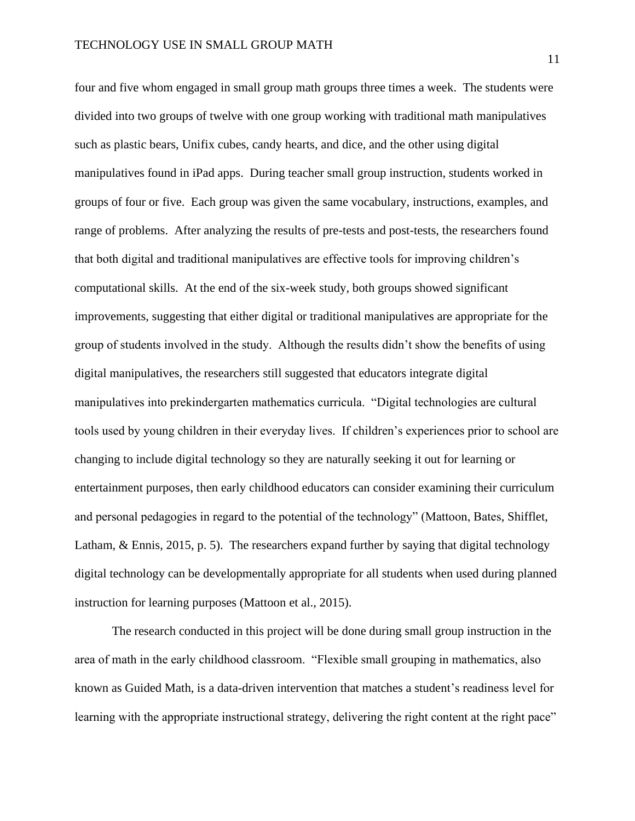four and five whom engaged in small group math groups three times a week. The students were divided into two groups of twelve with one group working with traditional math manipulatives such as plastic bears, Unifix cubes, candy hearts, and dice, and the other using digital manipulatives found in iPad apps. During teacher small group instruction, students worked in groups of four or five. Each group was given the same vocabulary, instructions, examples, and range of problems. After analyzing the results of pre-tests and post-tests, the researchers found that both digital and traditional manipulatives are effective tools for improving children's computational skills. At the end of the six-week study, both groups showed significant improvements, suggesting that either digital or traditional manipulatives are appropriate for the group of students involved in the study. Although the results didn't show the benefits of using digital manipulatives, the researchers still suggested that educators integrate digital manipulatives into prekindergarten mathematics curricula. "Digital technologies are cultural tools used by young children in their everyday lives. If children's experiences prior to school are changing to include digital technology so they are naturally seeking it out for learning or entertainment purposes, then early childhood educators can consider examining their curriculum and personal pedagogies in regard to the potential of the technology" (Mattoon, Bates, Shifflet, Latham, & Ennis, 2015, p. 5). The researchers expand further by saying that digital technology digital technology can be developmentally appropriate for all students when used during planned instruction for learning purposes (Mattoon et al., 2015).

The research conducted in this project will be done during small group instruction in the area of math in the early childhood classroom. "Flexible small grouping in mathematics, also known as Guided Math, is a data-driven intervention that matches a student's readiness level for learning with the appropriate instructional strategy, delivering the right content at the right pace"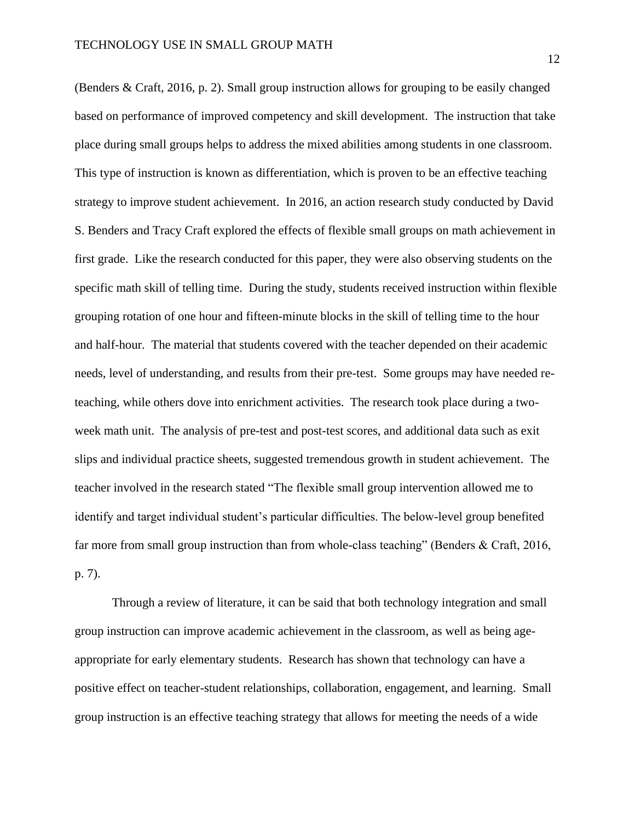(Benders & Craft, 2016, p. 2). Small group instruction allows for grouping to be easily changed based on performance of improved competency and skill development. The instruction that take place during small groups helps to address the mixed abilities among students in one classroom. This type of instruction is known as differentiation, which is proven to be an effective teaching strategy to improve student achievement. In 2016, an action research study conducted by David S. Benders and Tracy Craft explored the effects of flexible small groups on math achievement in first grade. Like the research conducted for this paper, they were also observing students on the specific math skill of telling time. During the study, students received instruction within flexible grouping rotation of one hour and fifteen-minute blocks in the skill of telling time to the hour and half-hour. The material that students covered with the teacher depended on their academic needs, level of understanding, and results from their pre-test. Some groups may have needed reteaching, while others dove into enrichment activities. The research took place during a twoweek math unit. The analysis of pre-test and post-test scores, and additional data such as exit slips and individual practice sheets, suggested tremendous growth in student achievement. The teacher involved in the research stated "The flexible small group intervention allowed me to identify and target individual student's particular difficulties. The below-level group benefited far more from small group instruction than from whole-class teaching" (Benders & Craft, 2016, p. 7).

Through a review of literature, it can be said that both technology integration and small group instruction can improve academic achievement in the classroom, as well as being ageappropriate for early elementary students. Research has shown that technology can have a positive effect on teacher-student relationships, collaboration, engagement, and learning. Small group instruction is an effective teaching strategy that allows for meeting the needs of a wide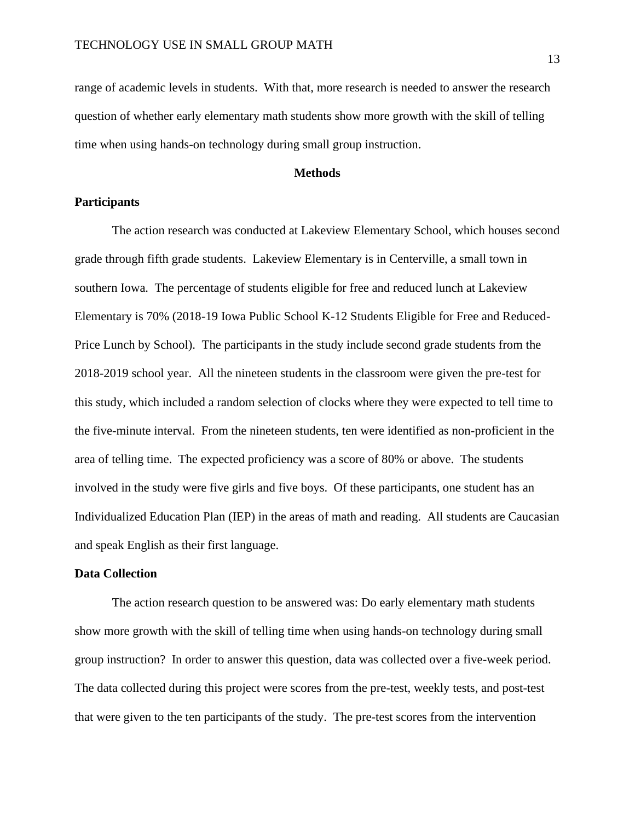range of academic levels in students. With that, more research is needed to answer the research question of whether early elementary math students show more growth with the skill of telling time when using hands-on technology during small group instruction.

#### **Methods**

#### **Participants**

The action research was conducted at Lakeview Elementary School, which houses second grade through fifth grade students. Lakeview Elementary is in Centerville, a small town in southern Iowa. The percentage of students eligible for free and reduced lunch at Lakeview Elementary is 70% (2018-19 Iowa Public School K-12 Students Eligible for Free and Reduced-Price Lunch by School). The participants in the study include second grade students from the 2018-2019 school year. All the nineteen students in the classroom were given the pre-test for this study, which included a random selection of clocks where they were expected to tell time to the five-minute interval. From the nineteen students, ten were identified as non-proficient in the area of telling time. The expected proficiency was a score of 80% or above. The students involved in the study were five girls and five boys. Of these participants, one student has an Individualized Education Plan (IEP) in the areas of math and reading. All students are Caucasian and speak English as their first language.

#### **Data Collection**

The action research question to be answered was: Do early elementary math students show more growth with the skill of telling time when using hands-on technology during small group instruction? In order to answer this question, data was collected over a five-week period. The data collected during this project were scores from the pre-test, weekly tests, and post-test that were given to the ten participants of the study. The pre-test scores from the intervention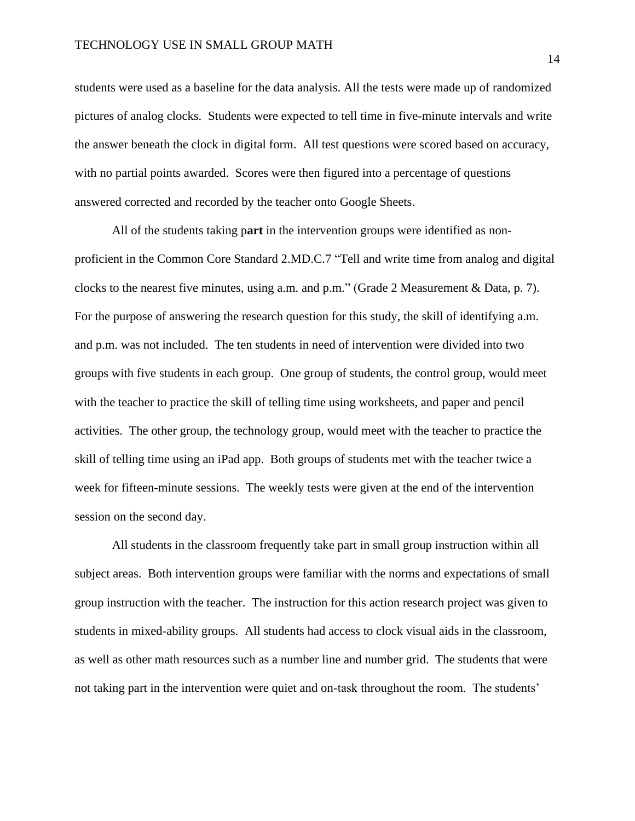students were used as a baseline for the data analysis. All the tests were made up of randomized pictures of analog clocks. Students were expected to tell time in five-minute intervals and write the answer beneath the clock in digital form. All test questions were scored based on accuracy, with no partial points awarded. Scores were then figured into a percentage of questions answered corrected and recorded by the teacher onto Google Sheets.

All of the students taking p**art** in the intervention groups were identified as nonproficient in the Common Core Standard 2.MD.C.7 "Tell and write time from analog and digital clocks to the nearest five minutes, using a.m. and p.m." (Grade 2 Measurement & Data, p. 7). For the purpose of answering the research question for this study, the skill of identifying a.m. and p.m. was not included. The ten students in need of intervention were divided into two groups with five students in each group. One group of students, the control group, would meet with the teacher to practice the skill of telling time using worksheets, and paper and pencil activities. The other group, the technology group, would meet with the teacher to practice the skill of telling time using an iPad app. Both groups of students met with the teacher twice a week for fifteen-minute sessions. The weekly tests were given at the end of the intervention session on the second day.

All students in the classroom frequently take part in small group instruction within all subject areas. Both intervention groups were familiar with the norms and expectations of small group instruction with the teacher. The instruction for this action research project was given to students in mixed-ability groups. All students had access to clock visual aids in the classroom, as well as other math resources such as a number line and number grid. The students that were not taking part in the intervention were quiet and on-task throughout the room. The students'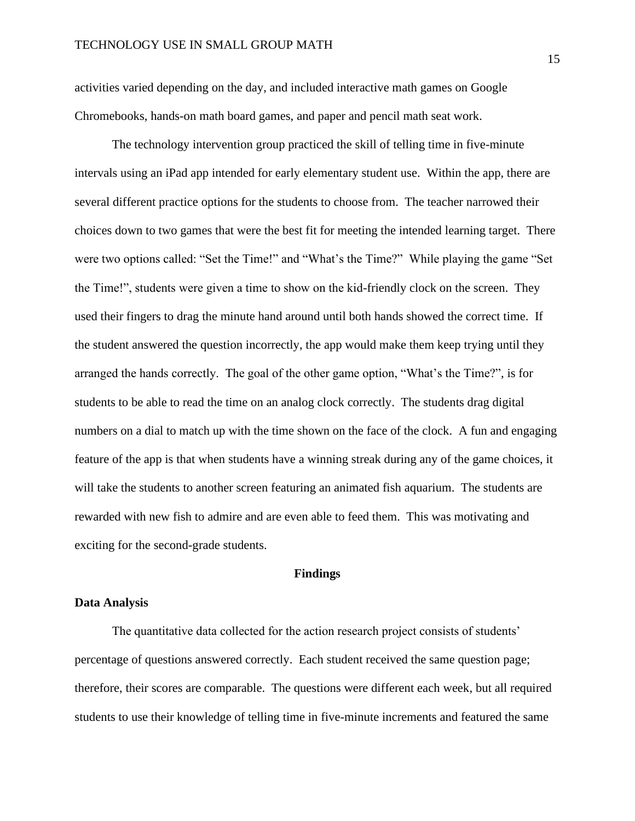activities varied depending on the day, and included interactive math games on Google Chromebooks, hands-on math board games, and paper and pencil math seat work.

The technology intervention group practiced the skill of telling time in five-minute intervals using an iPad app intended for early elementary student use. Within the app, there are several different practice options for the students to choose from. The teacher narrowed their choices down to two games that were the best fit for meeting the intended learning target. There were two options called: "Set the Time!" and "What's the Time?" While playing the game "Set the Time!", students were given a time to show on the kid-friendly clock on the screen. They used their fingers to drag the minute hand around until both hands showed the correct time. If the student answered the question incorrectly, the app would make them keep trying until they arranged the hands correctly. The goal of the other game option, "What's the Time?", is for students to be able to read the time on an analog clock correctly. The students drag digital numbers on a dial to match up with the time shown on the face of the clock. A fun and engaging feature of the app is that when students have a winning streak during any of the game choices, it will take the students to another screen featuring an animated fish aquarium. The students are rewarded with new fish to admire and are even able to feed them. This was motivating and exciting for the second-grade students.

#### **Findings**

#### **Data Analysis**

The quantitative data collected for the action research project consists of students' percentage of questions answered correctly. Each student received the same question page; therefore, their scores are comparable. The questions were different each week, but all required students to use their knowledge of telling time in five-minute increments and featured the same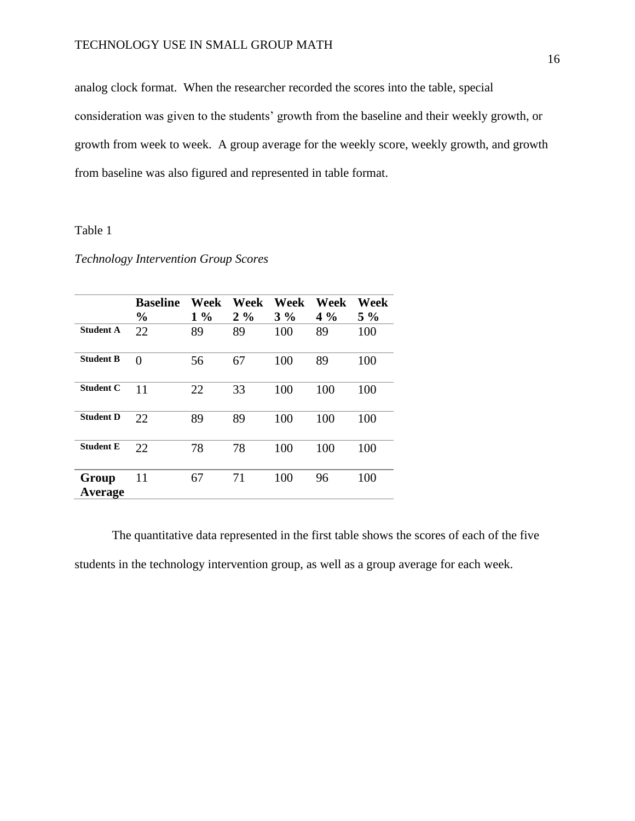analog clock format. When the researcher recorded the scores into the table, special consideration was given to the students' growth from the baseline and their weekly growth, or growth from week to week. A group average for the weekly score, weekly growth, and growth from baseline was also figured and represented in table format.

## Table 1

## *Technology Intervention Group Scores*

|                  | <b>Baseline</b><br>$\frac{0}{0}$ | Week<br>$1\%$ | Week<br>$2\%$ | Week<br>$3\%$ | Week<br>$4\%$ | Week<br>$5\%$ |
|------------------|----------------------------------|---------------|---------------|---------------|---------------|---------------|
| <b>Student A</b> | 22                               | 89            | 89            | 100           | 89            | 100           |
| <b>Student B</b> | $\theta$                         | 56            | 67            | 100           | 89            | 100           |
| <b>Student C</b> | 11                               | 22            | 33            | 100           | 100           | 100           |
| <b>Student D</b> | 22                               | 89            | 89            | 100           | 100           | 100           |
| <b>Student E</b> | 22                               | 78            | 78            | 100           | 100           | 100           |
| Group<br>Average | 11                               | 67            | 71            | 100           | 96            | 100           |

The quantitative data represented in the first table shows the scores of each of the five students in the technology intervention group, as well as a group average for each week.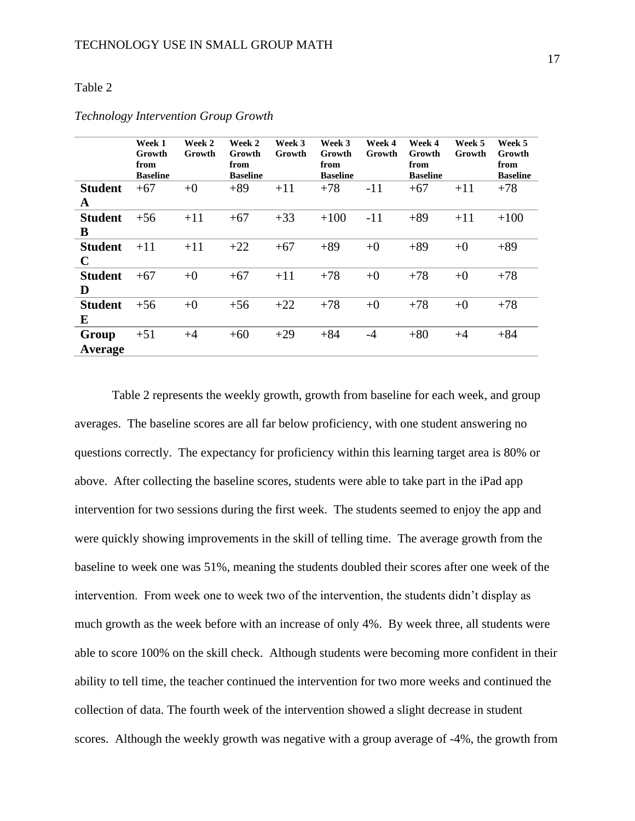### Table 2

| Week 1<br>Growth<br>from<br><b>Baseline</b> | Week 2<br>Growth | Week 2<br>Growth<br>from<br><b>Baseline</b> | Week 3<br>Growth | Week 3<br>Growth<br>from<br><b>Baseline</b> | Week 4<br>Growth | Week 4<br>Growth<br>from<br><b>Baseline</b> | Week 5<br>Growth | Week 5<br>Growth<br>from<br><b>Baseline</b> |
|---------------------------------------------|------------------|---------------------------------------------|------------------|---------------------------------------------|------------------|---------------------------------------------|------------------|---------------------------------------------|
| $+67$                                       | $+0$             | $+89$                                       | $+11$            | $+78$                                       | $-11$            | $+67$                                       | $+11$            | $+78$                                       |
|                                             |                  |                                             |                  |                                             |                  |                                             |                  |                                             |
| $+56$                                       | $+11$            | $+67$                                       | $+33$            | $+100$                                      | $-11$            | $+89$                                       | $+11$            | $+100$                                      |
|                                             |                  |                                             |                  |                                             |                  |                                             |                  |                                             |
| $+11$                                       | $+11$            | $+22$                                       | $+67$            | $+89$                                       | $+0$             | $+89$                                       | $+0$             | $+89$                                       |
|                                             |                  |                                             |                  |                                             |                  |                                             |                  |                                             |
| $+67$                                       | $+0$             | $+67$                                       | $+11$            | $+78$                                       | $+0$             | $+78$                                       | $+0$             | $+78$                                       |
|                                             |                  |                                             |                  |                                             |                  |                                             |                  |                                             |
| $+56$                                       | $+0$             | $+56$                                       | $+22$            | $+78$                                       | $+0$             | $+78$                                       | $+0$             | $+78$                                       |
|                                             |                  |                                             |                  |                                             |                  |                                             |                  |                                             |
| $+51$                                       | $+4$             | $+60$                                       | $+29$            | $+84$                                       | $-4$             | $+80$                                       | $+4$             | $+84$                                       |
|                                             |                  |                                             |                  |                                             |                  |                                             |                  |                                             |
|                                             |                  |                                             |                  |                                             |                  |                                             |                  |                                             |

## *Technology Intervention Group Growth*

Table 2 represents the weekly growth, growth from baseline for each week, and group averages. The baseline scores are all far below proficiency, with one student answering no questions correctly. The expectancy for proficiency within this learning target area is 80% or above. After collecting the baseline scores, students were able to take part in the iPad app intervention for two sessions during the first week. The students seemed to enjoy the app and were quickly showing improvements in the skill of telling time. The average growth from the baseline to week one was 51%, meaning the students doubled their scores after one week of the intervention. From week one to week two of the intervention, the students didn't display as much growth as the week before with an increase of only 4%. By week three, all students were able to score 100% on the skill check. Although students were becoming more confident in their ability to tell time, the teacher continued the intervention for two more weeks and continued the collection of data. The fourth week of the intervention showed a slight decrease in student scores. Although the weekly growth was negative with a group average of -4%, the growth from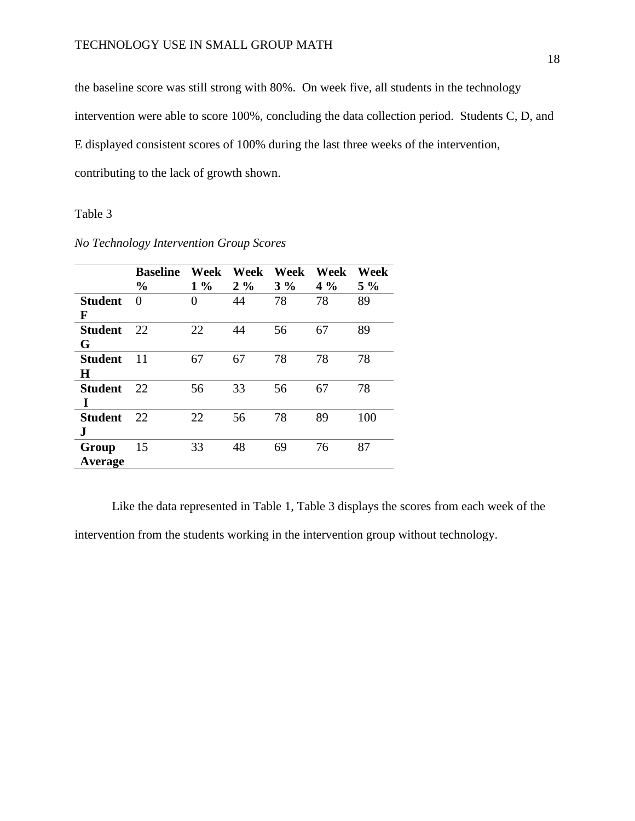the baseline score was still strong with 80%. On week five, all students in the technology intervention were able to score 100%, concluding the data collection period. Students C, D, and E displayed consistent scores of 100% during the last three weeks of the intervention, contributing to the lack of growth shown.

#### Table 3

|                     | <b>Baseline</b><br>$\frac{0}{0}$ | Week<br>$1\%$ | Week<br>$2\%$ | Week<br>$3\%$ | Week<br>$4\%$ | Week<br>$5\%$ |
|---------------------|----------------------------------|---------------|---------------|---------------|---------------|---------------|
| <b>Student</b><br>F | $\Omega$                         | $\theta$      | 44            | 78            | 78            | 89            |
| Student<br>G        | 22                               | 22            | 44            | 56            | 67            | 89            |
| Student<br>Н        | 11                               | 67            | 67            | 78            | 78            | 78            |
| <b>Student</b><br>I | 22                               | 56            | 33            | 56            | 67            | 78            |
| <b>Student</b><br>J | 22                               | 22            | 56            | 78            | 89            | 100           |
| Group<br>Average    | 15                               | 33            | 48            | 69            | 76            | 87            |

*No Technology Intervention Group Scores*

Like the data represented in Table 1, Table 3 displays the scores from each week of the intervention from the students working in the intervention group without technology.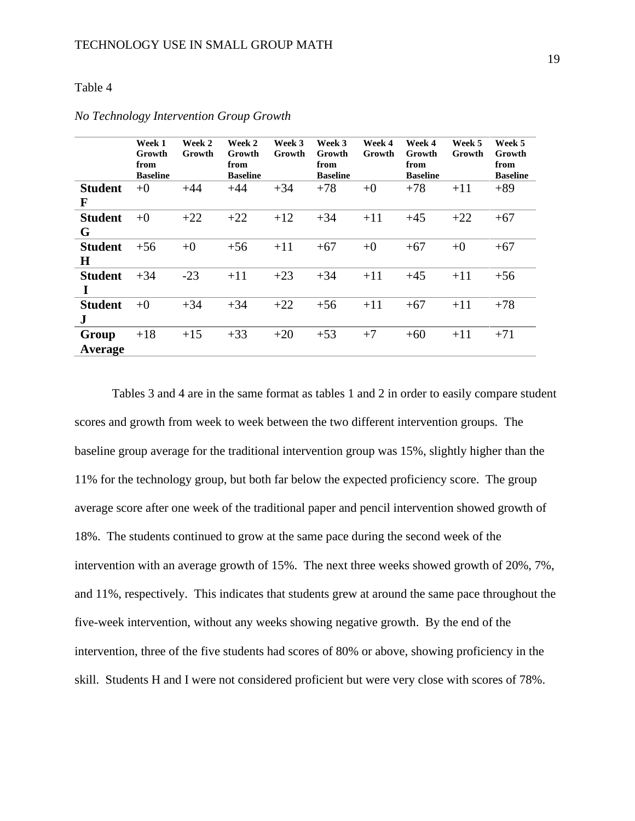## Table 4

|                | Week 1<br>Growth<br>from<br><b>Baseline</b> | Week 2<br>Growth | Week 2<br>Growth<br>from<br><b>Baseline</b> | Week 3<br>Growth | Week 3<br>Growth<br>from<br><b>Baseline</b> | Week 4<br>Growth | Week 4<br>Growth<br>from<br><b>Baseline</b> | Week 5<br>Growth | Week 5<br>Growth<br>from<br><b>Baseline</b> |
|----------------|---------------------------------------------|------------------|---------------------------------------------|------------------|---------------------------------------------|------------------|---------------------------------------------|------------------|---------------------------------------------|
| <b>Student</b> | $+0$                                        | $+44$            | $+44$                                       | $+34$            | $+78$                                       | $+0$             | $+78$                                       | $+11$            | $+89$                                       |
| F              |                                             |                  |                                             |                  |                                             |                  |                                             |                  |                                             |
| <b>Student</b> | $+0$                                        | $+22$            | $+22$                                       | $+12$            | $+34$                                       | $+11$            | $+45$                                       | $+22$            | $+67$                                       |
| G              |                                             |                  |                                             |                  |                                             |                  |                                             |                  |                                             |
| <b>Student</b> | $+56$                                       | $+0$             | $+56$                                       | $+11$            | $+67$                                       | $+0$             | $+67$                                       | $+0$             | $+67$                                       |
| $\bf H$        |                                             |                  |                                             |                  |                                             |                  |                                             |                  |                                             |
| <b>Student</b> | $+34$                                       | $-23$            | $+11$                                       | $+23$            | $+34$                                       | $+11$            | $+45$                                       | $+11$            | $+56$                                       |
|                |                                             |                  |                                             |                  |                                             |                  |                                             |                  |                                             |
| <b>Student</b> | $+0$                                        | $+34$            | $+34$                                       | $+22$            | $+56$                                       | $+11$            | $+67$                                       | $+11$            | $+78$                                       |
| $\bf J$        |                                             |                  |                                             |                  |                                             |                  |                                             |                  |                                             |
| Group          | $+18$                                       | $+15$            | $+33$                                       | $+20$            | $+53$                                       | $+7$             | $+60$                                       | $+11$            | $+71$                                       |
| Average        |                                             |                  |                                             |                  |                                             |                  |                                             |                  |                                             |

#### *No Technology Intervention Group Growth*

Tables 3 and 4 are in the same format as tables 1 and 2 in order to easily compare student scores and growth from week to week between the two different intervention groups. The baseline group average for the traditional intervention group was 15%, slightly higher than the 11% for the technology group, but both far below the expected proficiency score. The group average score after one week of the traditional paper and pencil intervention showed growth of 18%. The students continued to grow at the same pace during the second week of the intervention with an average growth of 15%. The next three weeks showed growth of 20%, 7%, and 11%, respectively. This indicates that students grew at around the same pace throughout the five-week intervention, without any weeks showing negative growth. By the end of the intervention, three of the five students had scores of 80% or above, showing proficiency in the skill. Students H and I were not considered proficient but were very close with scores of 78%.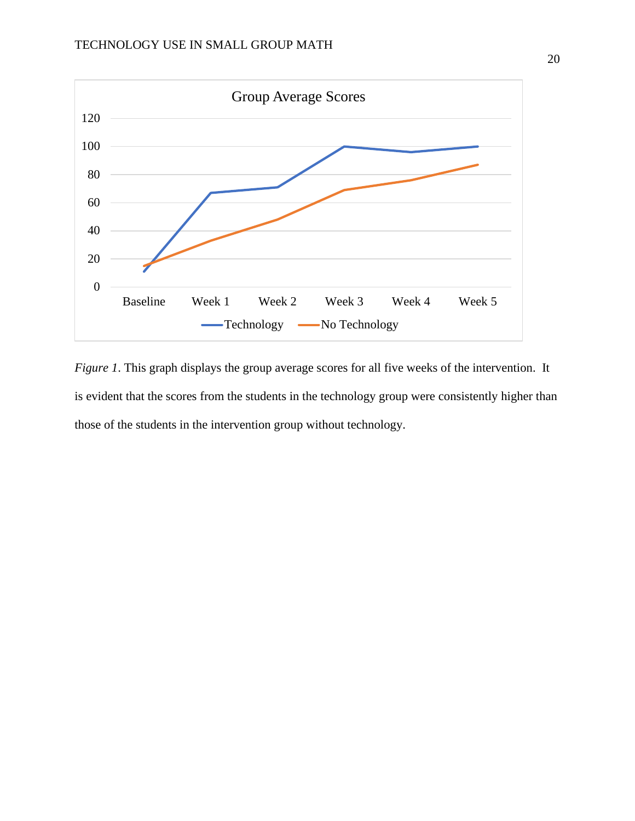

*Figure 1*. This graph displays the group average scores for all five weeks of the intervention. It is evident that the scores from the students in the technology group were consistently higher than those of the students in the intervention group without technology.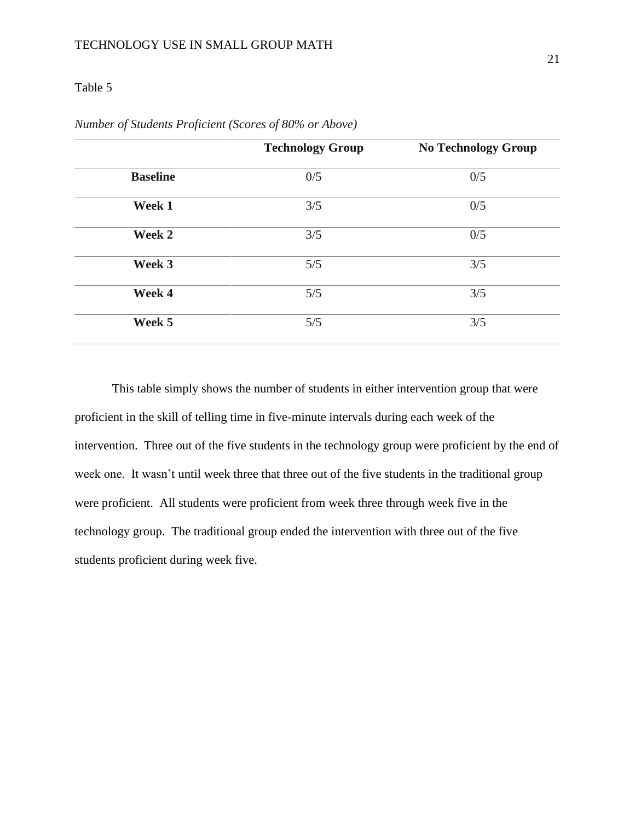## Table 5

|                 | <b>Technology Group</b> | <b>No Technology Group</b> |
|-----------------|-------------------------|----------------------------|
| <b>Baseline</b> | 0/5                     | 0/5                        |
| Week 1          | 3/5                     | 0/5                        |
| Week 2          | 3/5                     | 0/5                        |
| Week 3          | 5/5                     | 3/5                        |
| Week 4          | 5/5                     | 3/5                        |
| Week 5          | 5/5                     | 3/5                        |

|  |  | Number of Students Proficient (Scores of 80% or Above) |  |
|--|--|--------------------------------------------------------|--|
|  |  |                                                        |  |

This table simply shows the number of students in either intervention group that were proficient in the skill of telling time in five-minute intervals during each week of the intervention. Three out of the five students in the technology group were proficient by the end of week one. It wasn't until week three that three out of the five students in the traditional group were proficient. All students were proficient from week three through week five in the technology group. The traditional group ended the intervention with three out of the five students proficient during week five.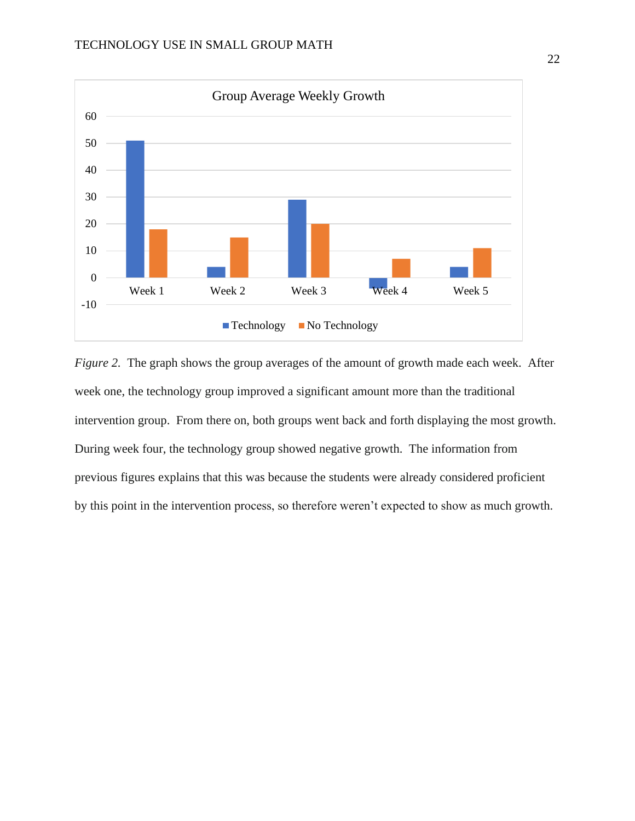

*Figure 2.* The graph shows the group averages of the amount of growth made each week. After week one, the technology group improved a significant amount more than the traditional intervention group. From there on, both groups went back and forth displaying the most growth. During week four, the technology group showed negative growth. The information from previous figures explains that this was because the students were already considered proficient by this point in the intervention process, so therefore weren't expected to show as much growth.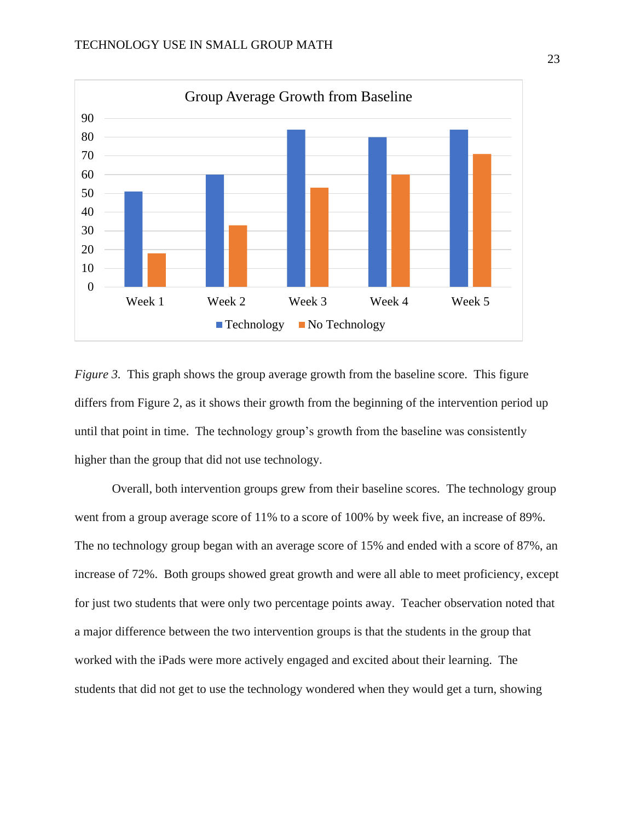

*Figure 3.* This graph shows the group average growth from the baseline score. This figure differs from Figure 2, as it shows their growth from the beginning of the intervention period up until that point in time. The technology group's growth from the baseline was consistently higher than the group that did not use technology.

Overall, both intervention groups grew from their baseline scores. The technology group went from a group average score of 11% to a score of 100% by week five, an increase of 89%. The no technology group began with an average score of 15% and ended with a score of 87%, an increase of 72%. Both groups showed great growth and were all able to meet proficiency, except for just two students that were only two percentage points away. Teacher observation noted that a major difference between the two intervention groups is that the students in the group that worked with the iPads were more actively engaged and excited about their learning. The students that did not get to use the technology wondered when they would get a turn, showing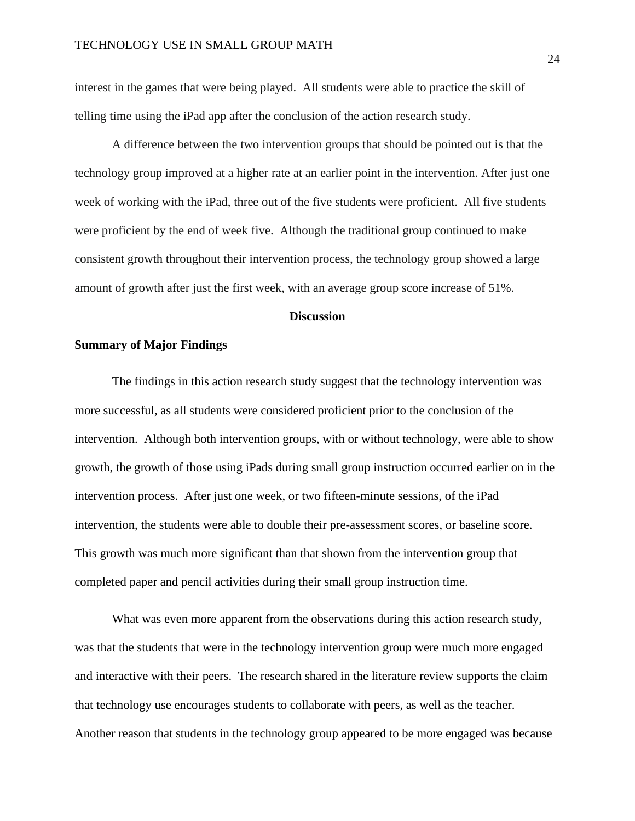interest in the games that were being played. All students were able to practice the skill of telling time using the iPad app after the conclusion of the action research study.

A difference between the two intervention groups that should be pointed out is that the technology group improved at a higher rate at an earlier point in the intervention. After just one week of working with the iPad, three out of the five students were proficient. All five students were proficient by the end of week five. Although the traditional group continued to make consistent growth throughout their intervention process, the technology group showed a large amount of growth after just the first week, with an average group score increase of 51%.

#### **Discussion**

#### <span id="page-24-0"></span>**Summary of Major Findings**

The findings in this action research study suggest that the technology intervention was more successful, as all students were considered proficient prior to the conclusion of the intervention. Although both intervention groups, with or without technology, were able to show growth, the growth of those using iPads during small group instruction occurred earlier on in the intervention process. After just one week, or two fifteen-minute sessions, of the iPad intervention, the students were able to double their pre-assessment scores, or baseline score. This growth was much more significant than that shown from the intervention group that completed paper and pencil activities during their small group instruction time.

What was even more apparent from the observations during this action research study, was that the students that were in the technology intervention group were much more engaged and interactive with their peers. The research shared in the literature review supports the claim that technology use encourages students to collaborate with peers, as well as the teacher. Another reason that students in the technology group appeared to be more engaged was because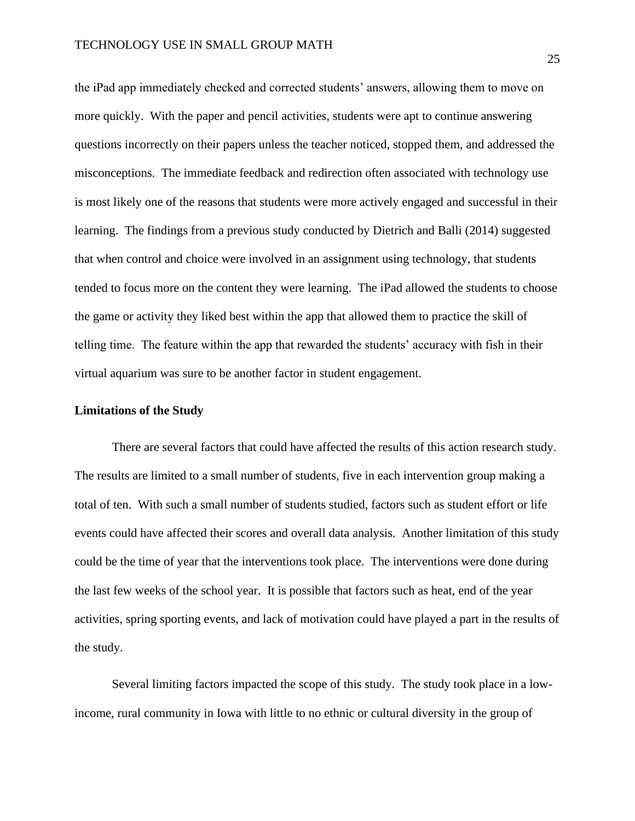the iPad app immediately checked and corrected students' answers, allowing them to move on more quickly. With the paper and pencil activities, students were apt to continue answering questions incorrectly on their papers unless the teacher noticed, stopped them, and addressed the misconceptions. The immediate feedback and redirection often associated with technology use is most likely one of the reasons that students were more actively engaged and successful in their learning. The findings from a previous study conducted by Dietrich and Balli (2014) suggested that when control and choice were involved in an assignment using technology, that students tended to focus more on the content they were learning. The iPad allowed the students to choose the game or activity they liked best within the app that allowed them to practice the skill of telling time. The feature within the app that rewarded the students' accuracy with fish in their virtual aquarium was sure to be another factor in student engagement.

#### **Limitations of the Study**

There are several factors that could have affected the results of this action research study. The results are limited to a small number of students, five in each intervention group making a total of ten. With such a small number of students studied, factors such as student effort or life events could have affected their scores and overall data analysis. Another limitation of this study could be the time of year that the interventions took place. The interventions were done during the last few weeks of the school year. It is possible that factors such as heat, end of the year activities, spring sporting events, and lack of motivation could have played a part in the results of the study.

Several limiting factors impacted the scope of this study. The study took place in a lowincome, rural community in Iowa with little to no ethnic or cultural diversity in the group of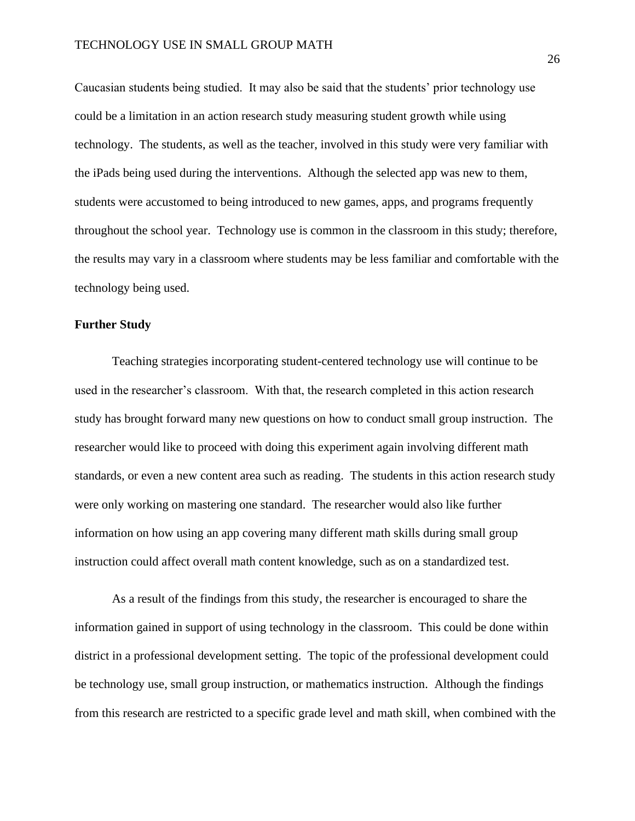Caucasian students being studied. It may also be said that the students' prior technology use could be a limitation in an action research study measuring student growth while using technology. The students, as well as the teacher, involved in this study were very familiar with the iPads being used during the interventions. Although the selected app was new to them, students were accustomed to being introduced to new games, apps, and programs frequently throughout the school year. Technology use is common in the classroom in this study; therefore, the results may vary in a classroom where students may be less familiar and comfortable with the technology being used.

## **Further Study**

Teaching strategies incorporating student-centered technology use will continue to be used in the researcher's classroom. With that, the research completed in this action research study has brought forward many new questions on how to conduct small group instruction. The researcher would like to proceed with doing this experiment again involving different math standards, or even a new content area such as reading. The students in this action research study were only working on mastering one standard. The researcher would also like further information on how using an app covering many different math skills during small group instruction could affect overall math content knowledge, such as on a standardized test.

As a result of the findings from this study, the researcher is encouraged to share the information gained in support of using technology in the classroom. This could be done within district in a professional development setting. The topic of the professional development could be technology use, small group instruction, or mathematics instruction. Although the findings from this research are restricted to a specific grade level and math skill, when combined with the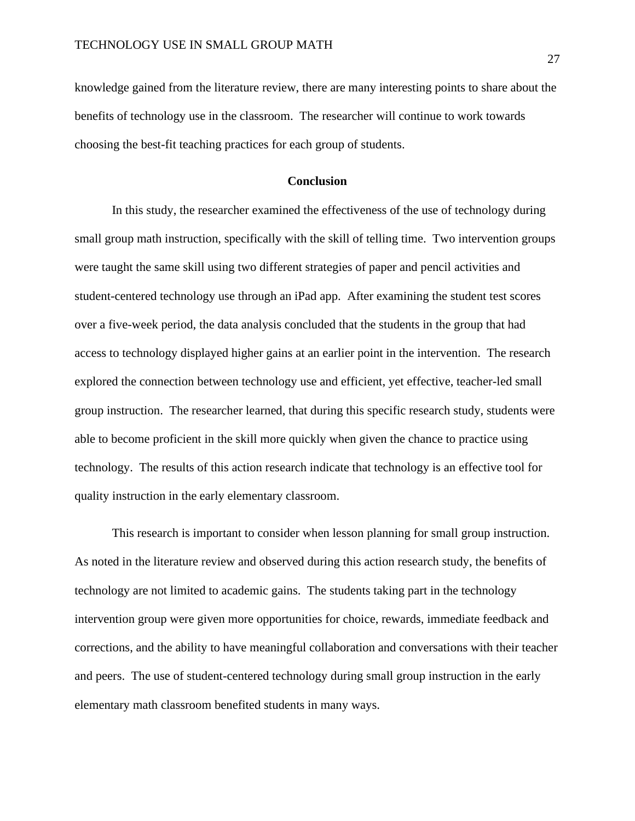knowledge gained from the literature review, there are many interesting points to share about the benefits of technology use in the classroom. The researcher will continue to work towards choosing the best-fit teaching practices for each group of students.

#### **Conclusion**

In this study, the researcher examined the effectiveness of the use of technology during small group math instruction, specifically with the skill of telling time. Two intervention groups were taught the same skill using two different strategies of paper and pencil activities and student-centered technology use through an iPad app. After examining the student test scores over a five-week period, the data analysis concluded that the students in the group that had access to technology displayed higher gains at an earlier point in the intervention. The research explored the connection between technology use and efficient, yet effective, teacher-led small group instruction. The researcher learned, that during this specific research study, students were able to become proficient in the skill more quickly when given the chance to practice using technology. The results of this action research indicate that technology is an effective tool for quality instruction in the early elementary classroom.

This research is important to consider when lesson planning for small group instruction. As noted in the literature review and observed during this action research study, the benefits of technology are not limited to academic gains. The students taking part in the technology intervention group were given more opportunities for choice, rewards, immediate feedback and corrections, and the ability to have meaningful collaboration and conversations with their teacher and peers. The use of student-centered technology during small group instruction in the early elementary math classroom benefited students in many ways.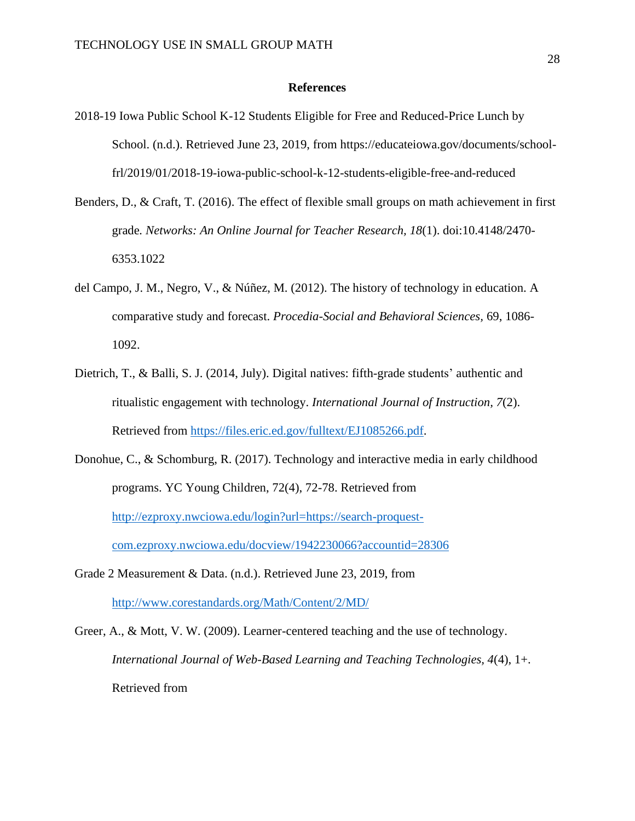#### **References**

- <span id="page-28-0"></span>2018-19 Iowa Public School K-12 Students Eligible for Free and Reduced-Price Lunch by School. (n.d.). Retrieved June 23, 2019, from https://educateiowa.gov/documents/schoolfrl/2019/01/2018-19-iowa-public-school-k-12-students-eligible-free-and-reduced
- Benders, D., & Craft, T. (2016). The effect of flexible small groups on math achievement in first grade*. Networks: An Online Journal for Teacher Research, 18*(1). doi:10.4148/2470- 6353.1022
- del Campo, J. M., Negro, V., & Núñez, M. (2012). The history of technology in education. A comparative study and forecast. *Procedia-Social and Behavioral Sciences,* 69, 1086- 1092.
- Dietrich, T., & Balli, S. J. (2014, July). Digital natives: fifth-grade students' authentic and ritualistic engagement with technology. *International Journal of Instruction, 7*(2). Retrieved from [https://files.eric.ed.gov/fulltext/EJ1085266.pdf.](https://files.eric.ed.gov/fulltext/EJ1085266.pdf)
- Donohue, C., & Schomburg, R. (2017). Technology and interactive media in early childhood programs. YC Young Children, 72(4), 72-78. Retrieved from [http://ezproxy.nwciowa.edu/login?url=https://search-proquest](http://ezproxy.nwciowa.edu/login?url=https://search-proquest-com.ezproxy.nwciowa.edu/docview/1942230066?accountid=28306)[com.ezproxy.nwciowa.edu/docview/1942230066?accountid=28306](http://ezproxy.nwciowa.edu/login?url=https://search-proquest-com.ezproxy.nwciowa.edu/docview/1942230066?accountid=28306)
- Grade 2 Measurement & Data. (n.d.). Retrieved June 23, 2019, from <http://www.corestandards.org/Math/Content/2/MD/>
- Greer, A., & Mott, V. W. (2009). Learner-centered teaching and the use of technology. *International Journal of Web-Based Learning and Teaching Technologies, 4*(4), 1+. Retrieved from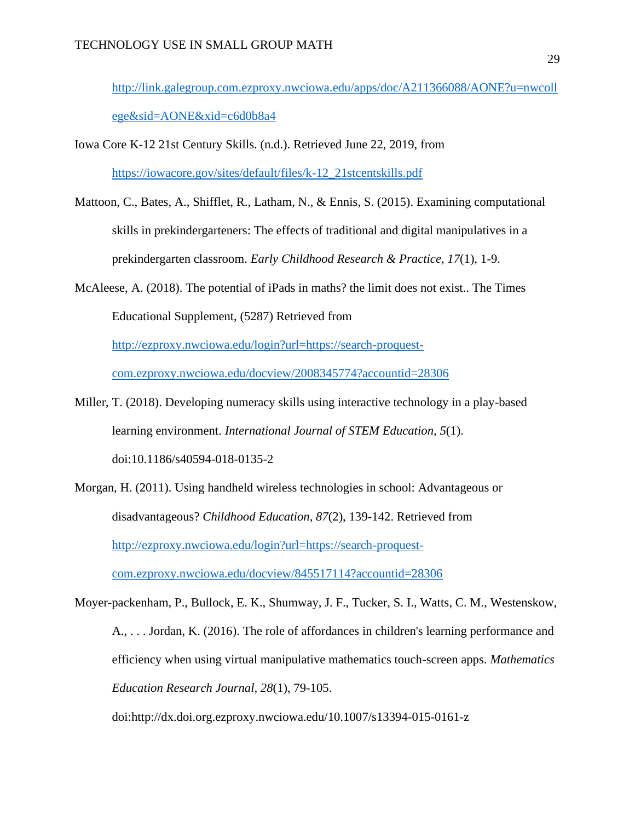[http://link.galegroup.com.ezproxy.nwciowa.edu/apps/doc/A211366088/AONE?u=nwcoll](http://link.galegroup.com.ezproxy.nwciowa.edu/apps/doc/A211366088/AONE?u=nwcollege&sid=AONE&xid=c6d0b8a4) [ege&sid=AONE&xid=c6d0b8a4](http://link.galegroup.com.ezproxy.nwciowa.edu/apps/doc/A211366088/AONE?u=nwcollege&sid=AONE&xid=c6d0b8a4)

- Iowa Core K-12 21st Century Skills. (n.d.). Retrieved June 22, 2019, from [https://iowacore.gov/sites/default/files/k-12\\_21stcentskills.pdf](https://iowacore.gov/sites/default/files/k-12_21stcentskills.pdf)
- Mattoon, C., Bates, A., Shifflet, R., Latham, N., & Ennis, S. (2015). Examining computational skills in prekindergarteners: The effects of traditional and digital manipulatives in a prekindergarten classroom. *Early Childhood Research & Practice, 17*(1), 1-9.
- McAleese, A. (2018). The potential of iPads in maths? the limit does not exist.. The Times Educational Supplement, (5287) Retrieved from [http://ezproxy.nwciowa.edu/login?url=https://search-proquest](http://ezproxy.nwciowa.edu/login?url=https://search-proquest-com.ezproxy.nwciowa.edu/docview/2008345774?accountid=28306)[com.ezproxy.nwciowa.edu/docview/2008345774?accountid=28306](http://ezproxy.nwciowa.edu/login?url=https://search-proquest-com.ezproxy.nwciowa.edu/docview/2008345774?accountid=28306)
- Miller, T. (2018). Developing numeracy skills using interactive technology in a play-based learning environment. *International Journal of STEM Education, 5*(1). doi:10.1186/s40594-018-0135-2
- Morgan, H. (2011). Using handheld wireless technologies in school: Advantageous or disadvantageous? *Childhood Education, 87*(2), 139-142. Retrieved from [http://ezproxy.nwciowa.edu/login?url=https://search-proquest](http://ezproxy.nwciowa.edu/login?url=https://search-proquest-com.ezproxy.nwciowa.edu/docview/845517114?accountid=28306)[com.ezproxy.nwciowa.edu/docview/845517114?accountid=28306](http://ezproxy.nwciowa.edu/login?url=https://search-proquest-com.ezproxy.nwciowa.edu/docview/845517114?accountid=28306)
- Moyer-packenham, P., Bullock, E. K., Shumway, J. F., Tucker, S. I., Watts, C. M., Westenskow, A., . . . Jordan, K. (2016). The role of affordances in children's learning performance and efficiency when using virtual manipulative mathematics touch-screen apps. *Mathematics Education Research Journal, 28*(1), 79-105.

doi:http://dx.doi.org.ezproxy.nwciowa.edu/10.1007/s13394-015-0161-z